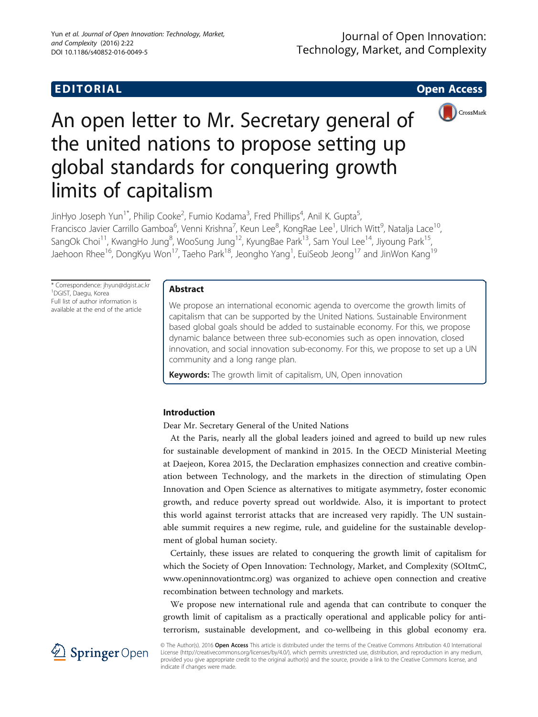

# An open letter to Mr. Secretary general of the united nations to propose setting up global standards for conquering growth limits of capitalism

JinHyo Joseph Yun<sup>1\*</sup>, Philip Cooke<sup>2</sup>, Fumio Kodama<sup>3</sup>, Fred Phillips<sup>4</sup>, Anil K. Gupta<sup>5</sup> , Francisco Javier Carrillo Gamboa<sup>6</sup>, Venni Krishna<sup>7</sup>, Keun Lee<sup>8</sup>, KongRae Lee<sup>1</sup>, Ulrich Witt<sup>9</sup>, Natalja Lace<sup>10</sup>, SangOk Choi<sup>11</sup>, KwangHo Jung<sup>8</sup>, WooSung Jung<sup>12</sup>, KyungBae Park<sup>13</sup>, Sam Youl Lee<sup>14</sup>, Jiyoung Park<sup>15</sup>, Jaehoon Rhee<sup>16</sup>, DongKyu Won<sup>17</sup>, Taeho Park<sup>18</sup>, Jeongho Yang<sup>1</sup>, EuiSeob Jeong<sup>17</sup> and JinWon Kang<sup>19</sup>

\* Correspondence: [jhyun@dgist.ac.kr](mailto:jhyun@dgist.ac.kr) <sup>1</sup> DGIST, Daegu, Korea Full list of author information is available at the end of the article

### Abstract

We propose an international economic agenda to overcome the growth limits of capitalism that can be supported by the United Nations. Sustainable Environment based global goals should be added to sustainable economy. For this, we propose dynamic balance between three sub-economies such as open innovation, closed innovation, and social innovation sub-economy. For this, we propose to set up a UN community and a long range plan.

**Keywords:** The growth limit of capitalism, UN, Open innovation

# Introduction

Dear Mr. Secretary General of the United Nations

At the Paris, nearly all the global leaders joined and agreed to build up new rules for sustainable development of mankind in 2015. In the OECD Ministerial Meeting at Daejeon, Korea 2015, the Declaration emphasizes connection and creative combination between Technology, and the markets in the direction of stimulating Open Innovation and Open Science as alternatives to mitigate asymmetry, foster economic growth, and reduce poverty spread out worldwide. Also, it is important to protect this world against terrorist attacks that are increased very rapidly. The UN sustainable summit requires a new regime, rule, and guideline for the sustainable development of global human society.

Certainly, these issues are related to conquering the growth limit of capitalism for which the Society of Open Innovation: Technology, Market, and Complexity (SOItmC, [www.openinnovationtmc.org\)](http://www.openinnovationtmc.org) was organized to achieve open connection and creative recombination between technology and markets.

We propose new international rule and agenda that can contribute to conquer the growth limit of capitalism as a practically operational and applicable policy for antiterrorism, sustainable development, and co-wellbeing in this global economy era.



© The Author(s). 2016 Open Access This article is distributed under the terms of the Creative Commons Attribution 4.0 International License [\(http://creativecommons.org/licenses/by/4.0/](http://creativecommons.org/licenses/by/4.0/)), which permits unrestricted use, distribution, and reproduction in any medium, provided you give appropriate credit to the original author(s) and the source, provide a link to the Creative Commons license, and indicate if changes were made.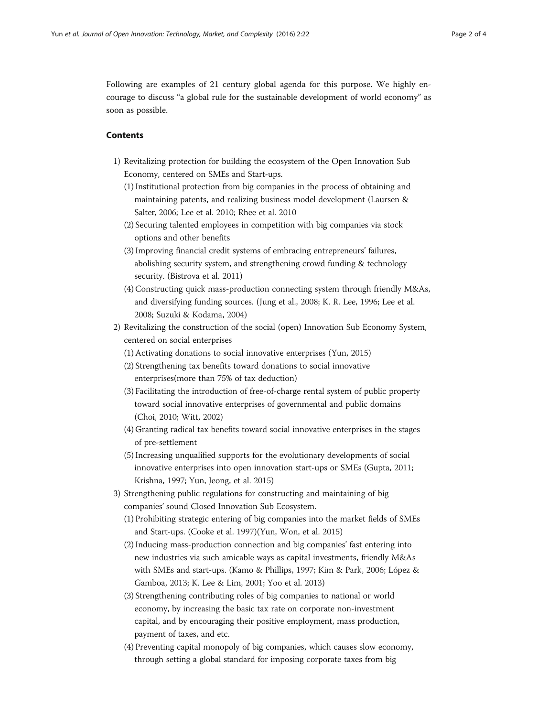Following are examples of 21 century global agenda for this purpose. We highly encourage to discuss "a global rule for the sustainable development of world economy" as soon as possible.

#### Contents

- 1) Revitalizing protection for building the ecosystem of the Open Innovation Sub Economy, centered on SMEs and Start-ups.
	- (1) Institutional protection from big companies in the process of obtaining and maintaining patents, and realizing business model development (Laursen & Salter, [2006](#page-2-0); Lee et al. [2010;](#page-2-0) Rhee et al. [2010](#page-2-0)
	- (2) Securing talented employees in competition with big companies via stock options and other benefits
	- (3) Improving financial credit systems of embracing entrepreneurs' failures, abolishing security system, and strengthening crowd funding & technology security. (Bistrova et al. [2011\)](#page-2-0)
	- (4) Constructing quick mass-production connecting system through friendly M&As, and diversifying funding sources. (Jung et al., [2008](#page-2-0); K. R. Lee, [1996](#page-2-0); Lee et al. [2008](#page-2-0); Suzuki & Kodama, [2004\)](#page-2-0)
- 2) Revitalizing the construction of the social (open) Innovation Sub Economy System, centered on social enterprises
	- (1) Activating donations to social innovative enterprises (Yun, [2015](#page-3-0))
	- (2) Strengthening tax benefits toward donations to social innovative enterprises(more than 75% of tax deduction)
	- (3) Facilitating the introduction of free-of-charge rental system of public property toward social innovative enterprises of governmental and public domains (Choi, [2010;](#page-2-0) Witt, [2002](#page-2-0))
	- (4) Granting radical tax benefits toward social innovative enterprises in the stages of pre-settlement
	- (5) Increasing unqualified supports for the evolutionary developments of social innovative enterprises into open innovation start-ups or SMEs (Gupta, [2011;](#page-2-0) Krishna, [1997;](#page-2-0) Yun, Jeong, et al. [2015](#page-3-0))
- 3) Strengthening public regulations for constructing and maintaining of big companies' sound Closed Innovation Sub Ecosystem.
	- (1) Prohibiting strategic entering of big companies into the market fields of SMEs and Start-ups. (Cooke et al. [1997](#page-2-0))(Yun, Won, et al. [2015](#page-3-0))
	- (2) Inducing mass-production connection and big companies' fast entering into new industries via such amicable ways as capital investments, friendly M&As with SMEs and start-ups. (Kamo & Phillips, [1997](#page-2-0); Kim & Park, [2006](#page-2-0); López & Gamboa, [2013](#page-2-0); K. Lee & Lim, [2001](#page-2-0); Yoo et al. [2013\)](#page-3-0)
	- (3) Strengthening contributing roles of big companies to national or world economy, by increasing the basic tax rate on corporate non-investment capital, and by encouraging their positive employment, mass production, payment of taxes, and etc.
	- (4) Preventing capital monopoly of big companies, which causes slow economy, through setting a global standard for imposing corporate taxes from big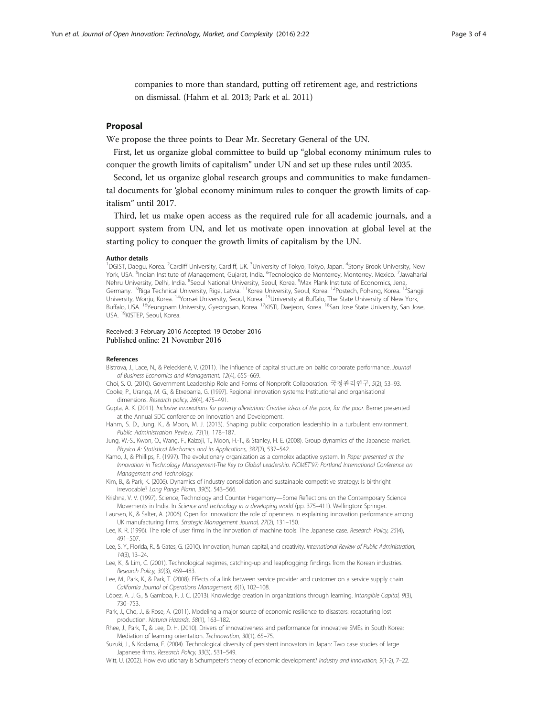<span id="page-2-0"></span>companies to more than standard, putting off retirement age, and restrictions on dismissal. (Hahm et al. 2013; Park et al. 2011)

#### Proposal

We propose the three points to Dear Mr. Secretary General of the UN.

First, let us organize global committee to build up "global economy minimum rules to conquer the growth limits of capitalism" under UN and set up these rules until 2035.

Second, let us organize global research groups and communities to make fundamental documents for 'global economy minimum rules to conquer the growth limits of capitalism" until 2017.

Third, let us make open access as the required rule for all academic journals, and a support system from UN, and let us motivate open innovation at global level at the starting policy to conquer the growth limits of capitalism by the UN.

#### Author details

<sup>1</sup>DGIST, Daegu, Korea. <sup>2</sup>Cardiff University, Cardiff, UK. <sup>3</sup>University of Tokyo, Tokyo, Japan. <sup>4</sup>Stony Brook University, New York, USA. <sup>5</sup>Indian Institute of Management, Gujarat, India. <sup>6</sup>Tecnologico de Monterrey, Monterrey, Mexico. <sup>7</sup>Jawaharlal Nehru University, Delhi, India. <sup>8</sup>Seoul National University, Seoul, Korea. <sup>9</sup>Max Plank Institute of Economics, Jena Germany. <sup>10</sup>Riga Technical University, Riga, Latvia. <sup>11</sup>Korea University, Seoul, Korea. <sup>12</sup>Postech, Pohang, Korea. <sup>13</sup>Sangji University, Wonju, Korea. 14Yonsei University, Seoul, Korea. 15University at Buffalo, The State University of New York, Buffalo, USA. 16Yeungnam University, Gyeongsan, Korea. 17KISTI, Daejeon, Korea. 18San Jose State University, San Jose, USA. 19KISTEP, Seoul, Korea.

# Received: 3 February 2016 Accepted: 19 October 2016

#### References

- Bistrova, J., Lace, N., & Peleckienė, V. (2011). The influence of capital structure on baltic corporate performance. Journal of Business Economics and Management, 12(4), 655–669.
- Choi, S. O. (2010). Government Leadership Role and Forms of Nonprofit Collaboration. 국정관리연구, 5(2), 53–93. Cooke, P., Uranga, M. G., & Etxebarria, G. (1997). Regional innovation systems: Institutional and organisational dimensions. Research policy, 26(4), 475–491.
- Gupta, A. K. (2011). Inclusive innovations for poverty alleviation: Creative ideas of the poor, for the poor. Berne: presented at the Annual SDC conference on Innovation and Development.
- Hahm, S. D., Jung, K., & Moon, M. J. (2013). Shaping public corporation leadership in a turbulent environment. Public Administration Review, 73(1), 178–187.

Jung, W.-S., Kwon, O., Wang, F., Kaizoji, T., Moon, H.-T., & Stanley, H. E. (2008). Group dynamics of the Japanese market. Physica A: Statistical Mechanics and its Applications, 387(2), 537–542.

Kamo, J., & Phillips, F. (1997). The evolutionary organization as a complex adaptive system. In Paper presented at the Innovation in Technology Management-The Key to Global Leadership. PICMET'97: Portland International Conference on Management and Technology.

Kim, B., & Park, K. (2006). Dynamics of industry consolidation and sustainable competitive strategy: Is birthright irrevocable? Long Range Plann, 39(5), 543–566.

- Krishna, V. V. (1997). Science, Technology and Counter Hegemony—Some Reflections on the Contemporary Science Movements in India. In Science and technology in a developing world (pp. 375–411). Wellington: Springer.
- Laursen, K., & Salter, A. (2006). Open for innovation: the role of openness in explaining innovation performance among UK manufacturing firms. Strategic Management Journal, 27(2), 131–150.
- Lee, K. R. (1996). The role of user firms in the innovation of machine tools: The Japanese case. Research Policy, 25(4), 491–507.
- Lee, S. Y., Florida, R., & Gates, G. (2010). Innovation, human capital, and creativity. International Review of Public Administration, 14(3), 13–24.
- Lee, K., & Lim, C. (2001). Technological regimes, catching-up and leapfrogging: findings from the Korean industries. Research Policy, 30(3), 459–483.
- Lee, M., Park, K., & Park, T. (2008). Effects of a link between service provider and customer on a service supply chain. California Journal of Operations Management, 6(1), 102–108.

López, A. J. G., & Gamboa, F. J. C. (2013). Knowledge creation in organizations through learning. Intangible Capital, 9(3), 730–753.

Park, J., Cho, J., & Rose, A. (2011). Modeling a major source of economic resilience to disasters: recapturing lost production. Natural Hazards, 58(1), 163–182.

Rhee, J., Park, T., & Lee, D. H. (2010). Drivers of innovativeness and performance for innovative SMEs in South Korea: Mediation of learning orientation. Technovation, 30(1), 65–75.

Suzuki, J., & Kodama, F. (2004). Technological diversity of persistent innovators in Japan: Two case studies of large Japanese firms. Research Policy, 33(3), 531–549.

Witt, U. (2002). How evolutionary is Schumpeter's theory of economic development? Industry and Innovation, 9(1-2), 7–22.